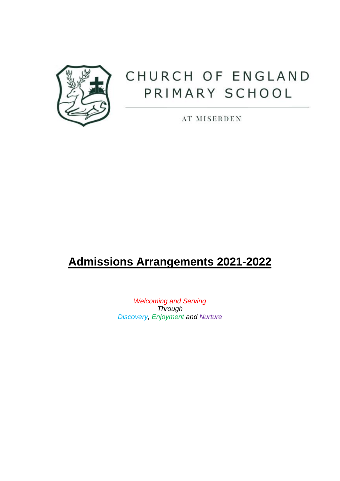

# CHURCH OF ENGLAND PRIMARY SCHOOL

AT MISERDEN

## **Admissions Arrangements 2021-2022**

*Welcoming and Serving Through Discovery, Enjoyment and Nurture*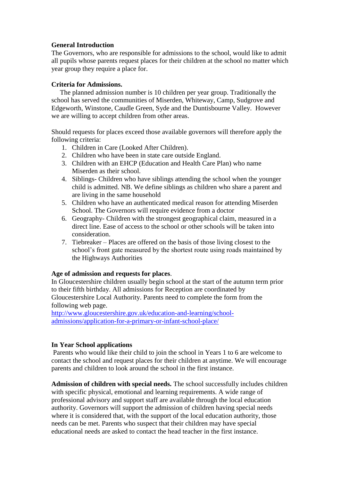#### **General Introduction**

The Governors, who are responsible for admissions to the school, would like to admit all pupils whose parents request places for their children at the school no matter which year group they require a place for.

#### **Criteria for Admissions.**

 The planned admission number is 10 children per year group. Traditionally the school has served the communities of Miserden, Whiteway, Camp, Sudgrove and Edgeworth, Winstone, Caudle Green, Syde and the Duntisbourne Valley. However we are willing to accept children from other areas.

Should requests for places exceed those available governors will therefore apply the following criteria:

- 1. Children in Care (Looked After Children).
- 2. Children who have been in state care outside England.
- 3. Children with an EHCP (Education and Health Care Plan) who name Miserden as their school.
- 4. Siblings- Children who have siblings attending the school when the younger child is admitted. NB. We define siblings as children who share a parent and are living in the same household
- 5. Children who have an authenticated medical reason for attending Miserden School. The Governors will require evidence from a doctor
- 6. Geography- Children with the strongest geographical claim, measured in a direct line. Ease of access to the school or other schools will be taken into consideration.
- 7. Tiebreaker Places are offered on the basis of those living closest to the school's front gate measured by the shortest route using roads maintained by the Highways Authorities

#### **Age of admission and requests for places**.

In Gloucestershire children usually begin school at the start of the autumn term prior to their fifth birthday. All admissions for Reception are coordinated by Gloucestershire Local Authority. Parents need to complete the form from the following web page.

[http://www.gloucestershire.gov.uk/education-and-learning/school](http://www.gloucestershire.gov.uk/education-and-learning/school-admissions/application-for-a-primary-or-infant-school-place/)[admissions/application-for-a-primary-or-infant-school-place/](http://www.gloucestershire.gov.uk/education-and-learning/school-admissions/application-for-a-primary-or-infant-school-place/)

### **In Year School applications**

Parents who would like their child to join the school in Years 1 to 6 are welcome to contact the school and request places for their children at anytime. We will encourage parents and children to look around the school in the first instance.

**Admission of children with special needs.** The school successfully includes children with specific physical, emotional and learning requirements. A wide range of professional advisory and support staff are available through the local education authority. Governors will support the admission of children having special needs where it is considered that, with the support of the local education authority, those needs can be met. Parents who suspect that their children may have special educational needs are asked to contact the head teacher in the first instance.